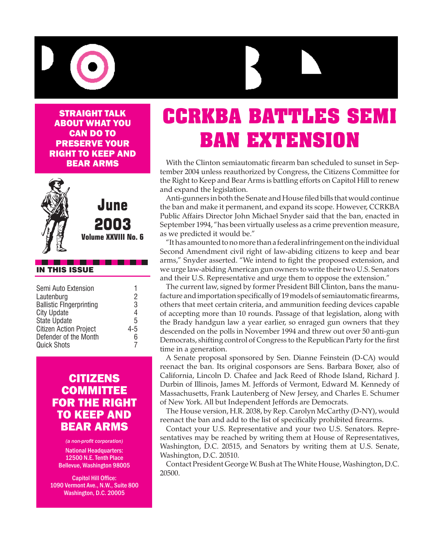

Straight Talk about what you **CAN DO TO** preserve your right to keep and bear arms



June 2003

**Volume XXVIII No. 6**

#### IN THIS ISSUE

| Semi Auto Extension<br>Lautenburg<br><b>Ballistic FIngerprinting</b> | 2<br>3 |
|----------------------------------------------------------------------|--------|
| <b>City Update</b>                                                   | 4      |
| <b>State Update</b>                                                  | 5      |
| <b>Citizen Action Project</b>                                        | 4-5    |
| Defender of the Month                                                | 6      |
| <b>Quick Shots</b>                                                   |        |
|                                                                      |        |

#### **CITIZENS COMMITTEE** for the Right **TO KEEP AND** Bear Arms

*(a non-profit corporation)* National Headquarters: 12500 N.E. Tenth Place Bellevue, Washington 98005

Capitol Hill Office: 1090 Vermont Ave., N.W., Suite 800 Washington, D.C. 20005

# **CCRKBA BATTLES SEMI BAN EXTENSION**

With the Clinton semiautomatic firearm ban scheduled to sunset in September 2004 unless reauthorized by Congress, the Citizens Committee for the Right to Keep and Bear Arms is battling efforts on Capitol Hill to renew and expand the legislation.

Anti-gunners in both the Senate and House filed bills that would continue the ban and make it permanent, and expand its scope. However, CCRKBA Public Affairs Director John Michael Snyder said that the ban, enacted in September 1994, "has been virtually useless as a crime prevention measure, as we predicted it would be."

"It has amounted to no more than a federal infringement on the individual Second Amendment civil right of law-abiding citizens to keep and bear arms," Snyder asserted. "We intend to fight the proposed extension, and we urge law-abiding American gun owners to write their two U.S. Senators and their U.S. Representative and urge them to oppose the extension."

The current law, signed by former President Bill Clinton, bans the manufacture and importation specifically of 19 models of semiautomatic firearms, others that meet certain criteria, and ammunition feeding devices capable of accepting more than 10 rounds. Passage of that legislation, along with the Brady handgun law a year earlier, so enraged gun owners that they descended on the polls in November 1994 and threw out over 50 anti-gun Democrats, shifting control of Congress to the Republican Party for the first time in a generation.

A Senate proposal sponsored by Sen. Dianne Feinstein (D-CA) would reenact the ban. Its original cosponsors are Sens. Barbara Boxer, also of California, Lincoln D. Chafee and Jack Reed of Rhode Island, Richard J. Durbin of Illinois, James M. Jeffords of Vermont, Edward M. Kennedy of Massachusetts, Frank Lautenberg of New Jersey, and Charles E. Schumer of New York. All but Independent Jeffords are Democrats.

The House version, H.R. 2038, by Rep. Carolyn McCarthy (D-NY), would reenact the ban and add to the list of specifically prohibited firearms.

Contact your U.S. Representative and your two U.S. Senators. Representatives may be reached by writing them at House of Representatives, Washington, D.C. 20515, and Senators by writing them at U.S. Senate, Washington, D.C. 20510.

Contact President George W. Bush at The White House, Washington, D.C. 20500.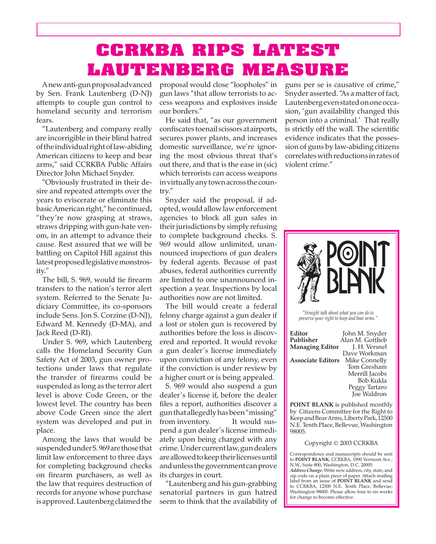## **CCRKBA RIPS LATEST LAUTENBERG MEASURE**

A new anti-gun proposal advanced by Sen. Frank Lautenberg (D-NJ) attempts to couple gun control to homeland security and terrorism fears.

"Lautenberg and company really are incorrigible in their blind hatred of the individual right of law-abiding American citizens to keep and bear arms," said CCRKBA Public Affairs Director John Michael Snyder.

"Obviously frustrated in their desire and repeated attempts over the years to eviscerate or eliminate this basic American right," he continued, "they're now grasping at straws, straws dripping with gun-hate venom, in an attempt to advance their cause. Rest assured that we will be battling on Capitol Hill against this latest proposed legislative monstrosity."

The bill, S. 969, would tie firearm transfers to the nation's terror alert system. Referred to the Senate Judiciary Committee, its co-sponsors include Sens. Jon S. Corzine (D-NJ), Edward M. Kennedy (D-MA), and Jack Reed (D-RI).

Under S. 969, which Lautenberg calls the Homeland Security Gun Safety Act of 2003, gun owner protections under laws that regulate the transfer of firearms could be suspended as long as the terror alert level is above Code Green, or the lowest level. The country has been above Code Green since the alert system was developed and put in place.

 the law that requires destruction of Among the laws that would be suspended under S. 969 are those that limit law enforcement to three days for completing background checks on firearm purchasers, as well as records for anyone whose purchase is approved. Lautenberg claimed the

proposal would close "loopholes" in gun laws "that allow terrorists to access weapons and explosives inside our borders."

He said that, "as our government confiscates toenail scissors at airports, secures power plants, and increases domestic surveillance, we're ignoring the most obvious threat that's out there, and that is the ease in (sic) which terrorists can access weapons in virtually any town across the country."

Snyder said the proposal, if adopted, would allow law enforcement agencies to block all gun sales in their jurisdictions by simply refusing to complete background checks. S. 969 would allow unlimited, unannounced inspections of gun dealers by federal agents. Because of past abuses, federal authorities currently are limited to one unannounced inspection a year. Inspections by local authorities now are not limited.

 The bill would create a federal felony charge against a gun dealer if a lost or stolen gun is recovered by authorities before the loss is discovered and reported. It would revoke a gun dealer's license immediately upon conviction of any felony, even if the conviction is under review by a higher court or is being appealed.

S. 969 would also suspend a gun dealer's license if, before the dealer files a report, authorities discover a gun that allegedly has been "missing" from inventory. It would suspend a gun dealer's license immediately upon being charged with any crime. Under current law, gun dealers are allowed to keep their licenses until and unless the government can prove its charges in court.

"Lautenberg and his gun-grabbing senatorial partners in gun hatred seem to think that the availability of guns per se is causative of crime," Snyder asserted. "As a matter of fact, Lautenberg even stated on one occasion, 'gun availability changed this person into a criminal.' That really is strictly off the wall. The scientific evidence indicates that the possession of guns by law-abiding citizens correlates with reductions in rates of violent crime."



*"Straight talk about what you can do to preserve your right to keep and bear arms."*

| Editor                   | John M. Snyder   |
|--------------------------|------------------|
| Publisher                | Alan M. Gottlieb |
| <b>Managing Editor</b>   | J. H. Versnel    |
|                          | Dave Workman     |
| <b>Associate Editors</b> | Mike Connelly    |
|                          | Tom Gresham      |
|                          | Merrill Jacobs   |
|                          | <b>Bob Kukla</b> |
|                          | Peggy Tartaro    |
|                          | Joe Waldron      |
|                          |                  |

**POINT BLANK** is published monthly by Citizens Committee for the Right to Keep and Bear Arms, Liberty Park, 12500 N.E. Tenth Place, Bellevue, Washington 98005.

Copyright © 2003 CCRKBA

Correspondence and manuscripts should be sent to **POINT BLANK**, CCRKBA, 1090 Vermont Ave., N.W., Suite 800, Washington, D.C. 20005 *Address Change:* Write new address, city, state, and zip code on a plain piece of paper. Attach mailing label from an issue of **POINT BLANK** and send to CCRKBA, 12500 N.E. Tenth Place, Bellevue, Washington 98005. Please allow four to six weeks for change to become effective.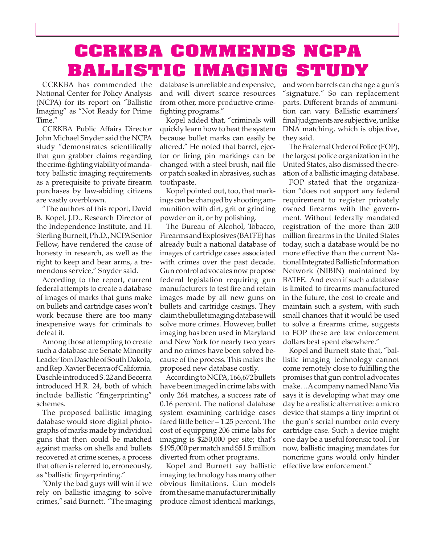## **CCRKBA COMMENDS NCPA BALLISTIC IMAGING STUDY**

CCRKBA has commended the National Center for Policy Analysis (NCPA) for its report on "Ballistic Imaging" as "Not Ready for Prime Time."

CCRKBA Public Affairs Director John Michael Snyder said the NCPA study "demonstrates scientifically that gun grabber claims regarding the crime-fighting viability of mandatory ballistic imaging requirements as a prerequisite to private firearm purchases by law-abiding citizens are vastly overblown.

"The authors of this report, David B. Kopel, J.D., Research Director of the Independence Institute, and H. Sterling Burnett, Ph.D., NCPA Senior Fellow, have rendered the cause of honesty in research, as well as the right to keep and bear arms, a tremendous service," Snyder said.

According to the report, current federal attempts to create a database of images of marks that guns make on bullets and cartridge cases won't work because there are too many inexpensive ways for criminals to defeat it.

Among those attempting to create such a database are Senate Minority Leader Tom Daschle of South Dakota, and Rep. Xavier Becerra of California. Daschle introduced S. 22 and Becerra introduced H.R. 24, both of which include ballistic "fingerprinting" schemes.

The proposed ballistic imaging database would store digital photographs of marks made by individual guns that then could be matched against marks on shells and bullets recovered at crime scenes, a process that often is referred to, erroneously, as "ballistic fingerprinting."

"Only the bad guys will win if we rely on ballistic imaging to solve crimes," said Burnett. "The imaging database is unreliable and expensive, and will divert scarce resources from other, more productive crimefighting programs."

Kopel added that, "criminals will quickly learn how to beat the system because bullet marks can easily be altered." He noted that barrel, ejector or firing pin markings can be changed with a steel brush, nail file or patch soaked in abrasives, such as toothpaste.

Kopel pointed out, too, that markings can be changed by shooting ammunition with dirt, grit or grinding powder on it, or by polishing.

The Bureau of Alcohol, Tobacco, Firearms and Explosives (BATFE) has already built a national database of images of cartridge cases associated with crimes over the past decade. Gun control advocates now propose federal legislation requiring gun manufacturers to test fire and retain images made by all new guns on bullets and cartridge casings. They claim the bullet imaging database will solve more crimes. However, bullet imaging has been used in Maryland and New York for nearly two years and no crimes have been solved because of the process. This makes the proposed new database costly.

According to NCPA, 166,672 bullets have been imaged in crime labs with only 264 matches, a success rate of 0.16 percent. The national database system examining cartridge cases fared little better – 1.25 percent. The cost of equipping 206 crime labs for imaging is \$250,000 per site; that's \$195,000 per match and \$51.5 million diverted from other programs.

Kopel and Burnett say ballistic imaging technology has many other obvious limitations. Gun models from the same manufacturer initially produce almost identical markings,

and worn barrels can change a gun's "signature." So can replacement parts. Different brands of ammunition can vary. Ballistic examiners' final judgments are subjective, unlike DNA matching, which is objective, they said.

The Fraternal Order of Police (FOP), the largest police organization in the United States, also dismissed the creation of a ballistic imaging database.

FOP stated that the organization "does not support any federal requirement to register privately owned firearms with the government. Without federally mandated registration of the more than 200 million firearms in the United States today, such a database would be no more effective than the current National Integrated Ballistic Information Network (NIBIN) maintained by BATFE. And even if such a database is limited to firearms manufactured in the future, the cost to create and maintain such a system, with such small chances that it would be used to solve a firearms crime, suggests to FOP these are law enforcement dollars best spent elsewhere."

Kopel and Burnett state that, "ballistic imaging technology cannot come remotely close to fulfilling the promises that gun control advocates make…A company named Nano Via says it is developing what may one day be a realistic alternative: a micro device that stamps a tiny imprint of the gun's serial number onto every cartridge case. Such a device might one day be a useful forensic tool. For now, ballistic imaging mandates for noncrime guns would only hinder effective law enforcement."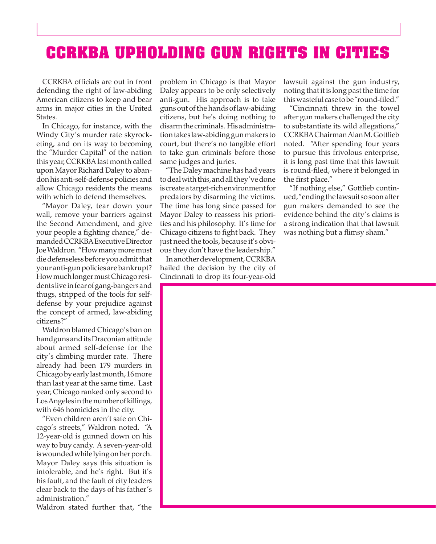#### **CCRKBA UPHOLDING GUN RIGHTS IN CITIES**

CCRKBA officials are out in front defending the right of law-abiding American citizens to keep and bear arms in major cities in the United States.

In Chicago, for instance, with the Windy City's murder rate skyrocketing, and on its way to becoming the "Murder Capital" of the nation this year, CCRKBA last month called upon Mayor Richard Daley to abandon his anti-self-defense policies and allow Chicago residents the means with which to defend themselves.

"Mayor Daley, tear down your wall, remove your barriers against the Second Amendment, and give your people a fighting chance," demanded CCRKBA Executive Director Joe Waldron. "How many more must die defenseless before you admit that your anti-gun policies are bankrupt? How much longer must Chicago residents live in fear of gang-bangers and thugs, stripped of the tools for selfdefense by your prejudice against the concept of armed, law-abiding citizens?"

Waldron blamed Chicago's ban on handguns and its Draconian attitude about armed self-defense for the city's climbing murder rate. There already had been 179 murders in Chicago by early last month, 16 more than last year at the same time. Last year, Chicago ranked only second to Los Angeles in the number of killings, with 646 homicides in the city.

"Even children aren't safe on Chicago's streets," Waldron noted. "A 12-year-old is gunned down on his way to buy candy. A seven-year-old is wounded while lying on her porch. Mayor Daley says this situation is intolerable, and he's right. But it's his fault, and the fault of city leaders clear back to the days of his father's administration."

problem in Chicago is that Mayor Daley appears to be only selectively anti-gun. His approach is to take guns out of the hands of law-abiding citizens, but he's doing nothing to disarm the criminals. His administration takes law-abiding gun makers to court, but there's no tangible effort to take gun criminals before those same judges and juries.

"The Daley machine has had years to deal with this, and all they've done is create a target-rich environment for predators by disarming the victims. The time has long since passed for Mayor Daley to reassess his priorities and his philosophy. It's time for Chicago citizens to fight back. They just need the tools, because it's obvious they don't have the leadership."

In another development, CCRKBA hailed the decision by the city of Cincinnati to drop its four-year-old

lawsuit against the gun industry, noting that it is long past the time for this wasteful case to be "round-filed."

"Cincinnati threw in the towel after gun makers challenged the city to substantiate its wild allegations," CCRKBA Chairman Alan M. Gottlieb noted. "After spending four years to pursue this frivolous enterprise, it is long past time that this lawsuit is round-filed, where it belonged in the first place."

"If nothing else," Gottlieb continued, "ending the lawsuit so soon after gun makers demanded to see the evidence behind the city's claims is a strong indication that that lawsuit was nothing but a flimsy sham."

Waldron stated further that, "the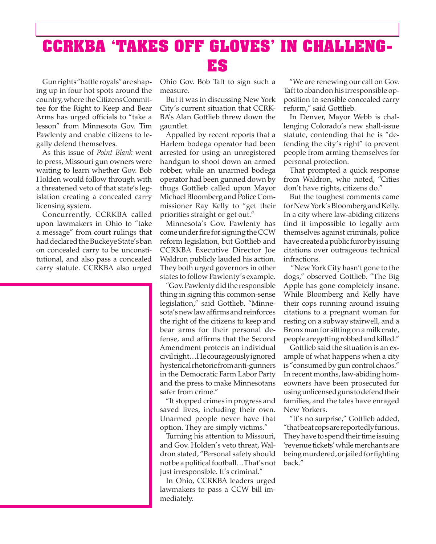#### **CCRKBA 'TAKES OFF GLOVES' IN CHALLENG-ES**

Gun rights "battle royals" are shaping up in four hot spots around the country, where the Citizens Committee for the Right to Keep and Bear Arms has urged officials to "take a lesson" from Minnesota Gov. Tim Pawlenty and enable citizens to legally defend themselves.

As this issue of *Point Blank* went to press, Missouri gun owners were waiting to learn whether Gov. Bob Holden would follow through with a threatened veto of that state's legislation creating a concealed carry licensing system.

Concurrently, CCRKBA called upon lawmakers in Ohio to "take a message" from court rulings that had declared the Buckeye State's ban on concealed carry to be unconstitutional, and also pass a concealed carry statute. CCRKBA also urged

Ohio Gov. Bob Taft to sign such a measure.

But it was in discussing New York City's current situation that CCRK-BA's Alan Gottlieb threw down the gauntlet.

Appalled by recent reports that a Harlem bodega operator had been arrested for using an unregistered handgun to shoot down an armed robber, while an unarmed bodega operator had been gunned down by thugs Gottlieb called upon Mayor Michael Bloomberg and Police Commissioner Ray Kelly to "get their priorities straight or get out."

Minnesota's Gov. Pawlenty has come under fire for signing the CCW reform legislation, but Gottlieb and CCRKBA Executive Director Joe Waldron publicly lauded his action. They both urged governors in other states to follow Pawlenty's example.

"Gov. Pawlenty did the responsible thing in signing this common-sense legislation," said Gottlieb. "Minnesota's new law affirms and reinforces the right of the citizens to keep and bear arms for their personal defense, and affirms that the Second Amendment protects an individual civil right…He courageously ignored hysterical rhetoric from anti-gunners in the Democratic Farm Labor Party and the press to make Minnesotans safer from crime."

"It stopped crimes in progress and saved lives, including their own. Unarmed people never have that option. They are simply victims."

Turning his attention to Missouri, and Gov. Holden's veto threat, Waldron stated, "Personal safety should not be a political football…That's not just irresponsible. It's criminal."

In Ohio, CCRKBA leaders urged lawmakers to pass a CCW bill immediately.

"We are renewing our call on Gov. Taft to abandon his irresponsible opposition to sensible concealed carry reform," said Gottlieb.

In Denver, Mayor Webb is challenging Colorado's new shall-issue statute, contending that he is "defending the city's right" to prevent people from arming themselves for personal protection.

That prompted a quick response from Waldron, who noted, "Cities don't have rights, citizens do."

But the toughest comments came for New York's Bloomberg and Kelly. In a city where law-abiding citizens find it impossible to legally arm themselves against criminals, police have created a public furor by issuing citations over outrageous technical infractions.

 "New York City hasn't gone to the dogs," observed Gottlieb. "The Big Apple has gone completely insane. While Bloomberg and Kelly have their cops running around issuing citations to a pregnant woman for resting on a subway stairwell, and a Bronx man for sitting on a milk crate, people are getting robbed and killed."

Gottlieb said the situation is an example of what happens when a city is "consumed by gun control chaos." In recent months, law-abiding homeowners have been prosecuted for using unlicensed guns to defend their families, and the tales have enraged New Yorkers.

"It's no surprise," Gottlieb added, "that beat cops are reportedly furious. They have to spend their time issuing 'revenue tickets' while merchants are being murdered, or jailed for fighting back."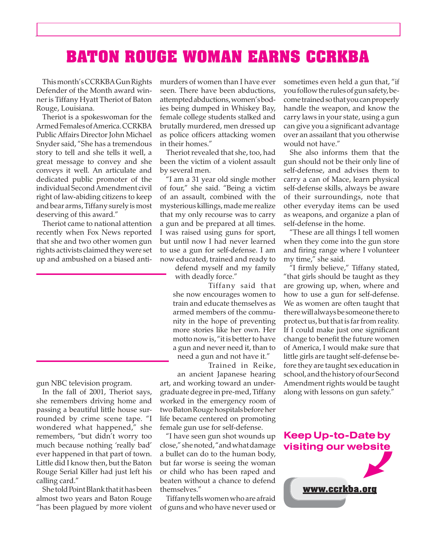#### **BATON ROUGE WOMAN EARNS CCRKBA**

This month's CCRKBA Gun Rights Defender of the Month award winner is Tiffany Hyatt Theriot of Baton Rouge, Louisiana.

Theriot is a spokeswoman for the Armed Females of America. CCRKBA Public Affairs Director John Michael Snyder said, "She has a tremendous story to tell and she tells it well, a great message to convey and she conveys it well. An articulate and dedicated public promoter of the individual Second Amendment civil right of law-abiding citizens to keep and bear arms, Tiffany surely is most deserving of this award."

Theriot came to national attention recently when Fox News reported that she and two other women gun rights activists claimed they were set up and ambushed on a biased anti-

gun NBC television program.

In the fall of 2001, Theriot says, she remembers driving home and passing a beautiful little house surrounded by crime scene tape. "I wondered what happened," she remembers, "but didn't worry too much because nothing 'really bad' ever happened in that part of town. Little did I know then, but the Baton Rouge Serial Killer had just left his calling card."

She told Point Blank that it has been almost two years and Baton Rouge "has been plagued by more violent murders of women than I have ever seen. There have been abductions, attempted abductions, women's bodies being dumped in Whiskey Bay, female college students stalked and brutally murdered, men dressed up as police officers attacking women in their homes."

Theriot revealed that she, too, had been the victim of a violent assault by several men.

"I am a 31 year old single mother of four," she said. "Being a victim of an assault, combined with the mysterious killings, made me realize that my only recourse was to carry a gun and be prepared at all times. I was raised using guns for sport, but until now I had never learned to use a gun for self-defense. I am now educated, trained and ready to

defend myself and my family with deadly force."

Tiffany said that she now encourages women to train and educate themselves as armed members of the community in the hope of preventing more stories like her own. Her motto now is, "it is better to have a gun and never need it, than to

need a gun and not have it." Trained in Reike,

an ancient Japanese hearing art, and working toward an undergraduate degree in pre-med, Tiffany worked in the emergency room of two Baton Rouge hospitals before her life became centered on promoting female gun use for self-defense.

"I have seen gun shot wounds up close," she noted, "and what damage a bullet can do to the human body, but far worse is seeing the woman or child who has been raped and beaten without a chance to defend themselves."

Tiffany tells women who are afraid of guns and who have never used or

sometimes even held a gun that, "if you follow the rules of gun safety, become trained so that you can properly handle the weapon, and know the carry laws in your state, using a gun can give you a significant advantage over an assailant that you otherwise would not have."

She also informs them that the gun should not be their only line of self-defense, and advises them to carry a can of Mace, learn physical self-defense skills, always be aware of their surroundings, note that other everyday items can be used as weapons, and organize a plan of self-defense in the home.

"These are all things I tell women when they come into the gun store and firing range where I volunteer my time," she said.

"I firmly believe," Tiffany stated, "that girls should be taught as they are growing up, when, where and how to use a gun for self-defense. We as women are often taught that there will always be someone there to protect us, but that is far from reality. If I could make just one significant change to benefit the future women of America, I would make sure that little girls are taught self-defense before they are taught sex education in school, and the history of our Second Amendment rights would be taught along with lessons on gun safety."